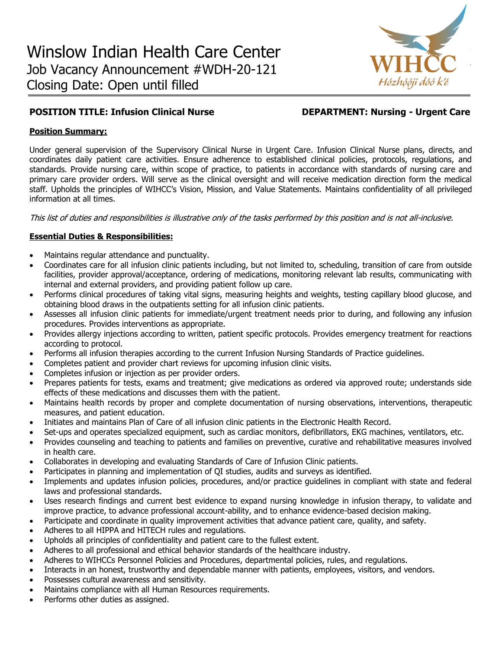

# **POSITION TITLE: Infusion Clinical Nurse DEPARTMENT: Nursing - Urgent Care**

## **Position Summary:**

Under general supervision of the Supervisory Clinical Nurse in Urgent Care. Infusion Clinical Nurse plans, directs, and coordinates daily patient care activities. Ensure adherence to established clinical policies, protocols, regulations, and standards. Provide nursing care, within scope of practice, to patients in accordance with standards of nursing care and primary care provider orders. Will serve as the clinical oversight and will receive medication direction form the medical staff. Upholds the principles of WIHCC's Vision, Mission, and Value Statements. Maintains confidentiality of all privileged information at all times.

This list of duties and responsibilities is illustrative only of the tasks performed by this position and is not all-inclusive.

# **Essential Duties & Responsibilities:**

- Maintains regular attendance and punctuality.
- Coordinates care for all infusion clinic patients including, but not limited to, scheduling, transition of care from outside facilities, provider approval/acceptance, ordering of medications, monitoring relevant lab results, communicating with internal and external providers, and providing patient follow up care.
- Performs clinical procedures of taking vital signs, measuring heights and weights, testing capillary blood glucose, and obtaining blood draws in the outpatients setting for all infusion clinic patients.
- Assesses all infusion clinic patients for immediate/urgent treatment needs prior to during, and following any infusion procedures. Provides interventions as appropriate.
- Provides allergy injections according to written, patient specific protocols. Provides emergency treatment for reactions according to protocol.
- Performs all infusion therapies according to the current Infusion Nursing Standards of Practice guidelines.
- Completes patient and provider chart reviews for upcoming infusion clinic visits.
- Completes infusion or injection as per provider orders.
- Prepares patients for tests, exams and treatment; give medications as ordered via approved route; understands side effects of these medications and discusses them with the patient.
- Maintains health records by proper and complete documentation of nursing observations, interventions, therapeutic measures, and patient education.
- Initiates and maintains Plan of Care of all infusion clinic patients in the Electronic Health Record.
- Set-ups and operates specialized equipment, such as cardiac monitors, defibrillators, EKG machines, ventilators, etc.
- Provides counseling and teaching to patients and families on preventive, curative and rehabilitative measures involved in health care.
- Collaborates in developing and evaluating Standards of Care of Infusion Clinic patients.
- Participates in planning and implementation of QI studies, audits and surveys as identified.
- Implements and updates infusion policies, procedures, and/or practice guidelines in compliant with state and federal laws and professional standards.
- Uses research findings and current best evidence to expand nursing knowledge in infusion therapy, to validate and improve practice, to advance professional account-ability, and to enhance evidence-based decision making.
- Participate and coordinate in quality improvement activities that advance patient care, quality, and safety.
- Adheres to all HIPPA and HITECH rules and regulations.
- Upholds all principles of confidentiality and patient care to the fullest extent.
- Adheres to all professional and ethical behavior standards of the healthcare industry.
- Adheres to WIHCCs Personnel Policies and Procedures, departmental policies, rules, and regulations.
- Interacts in an honest, trustworthy and dependable manner with patients, employees, visitors, and vendors.
- Possesses cultural awareness and sensitivity.
- Maintains compliance with all Human Resources requirements.
- Performs other duties as assigned.